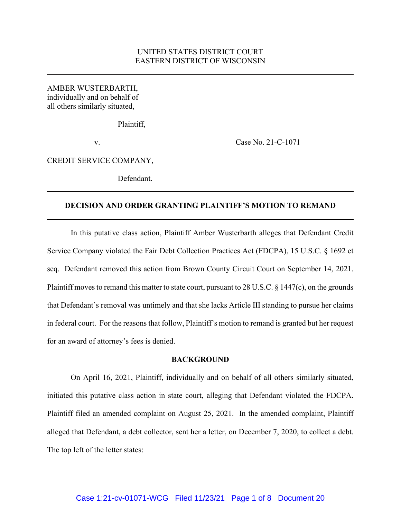# UNITED STATES DISTRICT COURT EASTERN DISTRICT OF WISCONSIN

AMBER WUSTERBARTH, individually and on behalf of all others similarly situated,

Plaintiff,

v. Case No. 21-C-1071

CREDIT SERVICE COMPANY,

Defendant.

# **DECISION AND ORDER GRANTING PLAINTIFF'S MOTION TO REMAND**

In this putative class action, Plaintiff Amber Wusterbarth alleges that Defendant Credit Service Company violated the Fair Debt Collection Practices Act (FDCPA), 15 U.S.C. § 1692 et seq. Defendant removed this action from Brown County Circuit Court on September 14, 2021. Plaintiff moves to remand this matter to state court, pursuant to 28 U.S.C. § 1447(c), on the grounds that Defendant's removal was untimely and that she lacks Article III standing to pursue her claims in federal court. For the reasons that follow, Plaintiff's motion to remand is granted but her request for an award of attorney's fees is denied.

#### **BACKGROUND**

On April 16, 2021, Plaintiff, individually and on behalf of all others similarly situated, initiated this putative class action in state court, alleging that Defendant violated the FDCPA. Plaintiff filed an amended complaint on August 25, 2021. In the amended complaint, Plaintiff alleged that Defendant, a debt collector, sent her a letter, on December 7, 2020, to collect a debt. The top left of the letter states: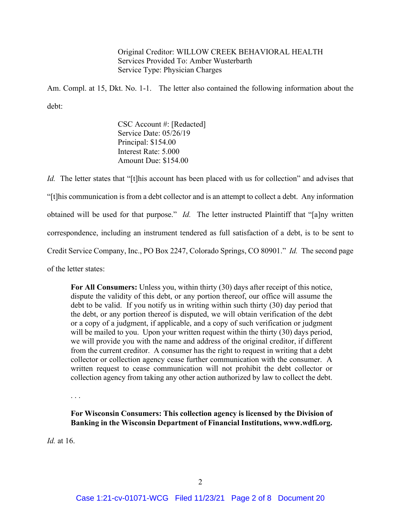Original Creditor: WILLOW CREEK BEHAVIORAL HEALTH Services Provided To: Amber Wusterbarth Service Type: Physician Charges

Am. Compl. at 15, Dkt. No. 1-1. The letter also contained the following information about the debt:

> CSC Account #: [Redacted] Service Date: 05/26/19 Principal: \$154.00 Interest Rate: 5.000 Amount Due: \$154.00

*Id.* The letter states that "[t]his account has been placed with us for collection" and advises that "[t]his communication is from a debt collector and is an attempt to collect a debt. Any information obtained will be used for that purpose." *Id.* The letter instructed Plaintiff that "[a]ny written correspondence, including an instrument tendered as full satisfaction of a debt, is to be sent to Credit Service Company, Inc., PO Box 2247, Colorado Springs, CO 80901." *Id.* The second page of the letter states:

**For All Consumers:** Unless you, within thirty (30) days after receipt of this notice, dispute the validity of this debt, or any portion thereof, our office will assume the debt to be valid. If you notify us in writing within such thirty (30) day period that the debt, or any portion thereof is disputed, we will obtain verification of the debt or a copy of a judgment, if applicable, and a copy of such verification or judgment will be mailed to you. Upon your written request within the thirty (30) days period, we will provide you with the name and address of the original creditor, if different from the current creditor. A consumer has the right to request in writing that a debt collector or collection agency cease further communication with the consumer. A written request to cease communication will not prohibit the debt collector or collection agency from taking any other action authorized by law to collect the debt.

. . .

**For Wisconsin Consumers: This collection agency is licensed by the Division of Banking in the Wisconsin Department of Financial Institutions, www.wdfi.org.**

*Id.* at 16.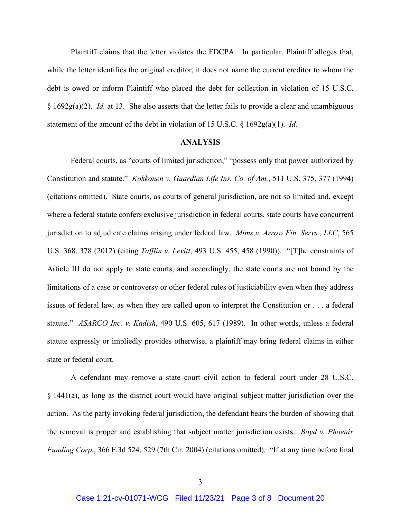Plaintiff claims that the letter violates the FDCPA. In particular, Plaintiff alleges that, while the letter identifies the original creditor, it does not name the current creditor to whom the debt is owed or inform Plaintiff who placed the debt for collection in violation of 15 U.S.C. § 1692g(a)(2). *Id.* at 13. She also asserts that the letter fails to provide a clear and unambiguous statement of the amount of the debt in violation of 15 U.S.C.  $\S$  1692g(a)(1). *Id.* 

## **ANALYSIS**

Federal courts, as "courts of limited jurisdiction," "possess only that power authorized by Constitution and statute." *Kokkonen v. Guardian Life Ins. Co. of Am.*, 511 U.S. 375, 377 (1994) (citations omitted). State courts, as courts of general jurisdiction, are not so limited and, except where a federal statute confers exclusive jurisdiction in federal courts, state courts have concurrent jurisdiction to adjudicate claims arising under federal law. *Mims v. Arrow Fin. Servs., LLC*, 565 U.S. 368, 378 (2012) (citing *Tafflin v. Levitt*, 493 U.S. 455, 458 (1990)). "[T]he constraints of Article III do not apply to state courts, and accordingly, the state courts are not bound by the limitations of a case or controversy or other federal rules of justiciability even when they address issues of federal law, as when they are called upon to interpret the Constitution or . . . a federal statute." *ASARCO Inc. v. Kadish*, 490 U.S. 605, 617 (1989). In other words, unless a federal statute expressly or impliedly provides otherwise, a plaintiff may bring federal claims in either state or federal court.

A defendant may remove a state court civil action to federal court under 28 U.S.C. § 1441(a), as long as the district court would have original subject matter jurisdiction over the action. As the party invoking federal jurisdiction, the defendant bears the burden of showing that the removal is proper and establishing that subject matter jurisdiction exists. *Boyd v. Phoenix Funding Corp.*, 366 F.3d 524, 529 (7th Cir. 2004) (citations omitted). "If at any time before final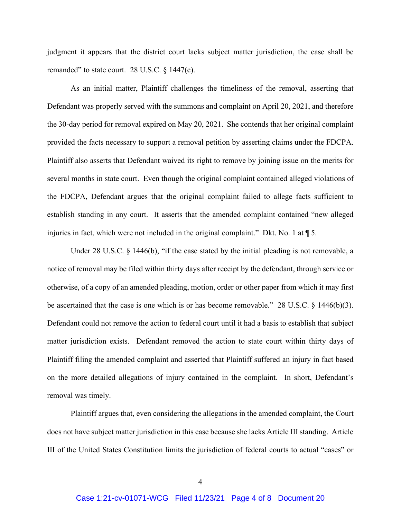judgment it appears that the district court lacks subject matter jurisdiction, the case shall be remanded" to state court. 28 U.S.C. § 1447(c).

As an initial matter, Plaintiff challenges the timeliness of the removal, asserting that Defendant was properly served with the summons and complaint on April 20, 2021, and therefore the 30-day period for removal expired on May 20, 2021. She contends that her original complaint provided the facts necessary to support a removal petition by asserting claims under the FDCPA. Plaintiff also asserts that Defendant waived its right to remove by joining issue on the merits for several months in state court. Even though the original complaint contained alleged violations of the FDCPA, Defendant argues that the original complaint failed to allege facts sufficient to establish standing in any court. It asserts that the amended complaint contained "new alleged injuries in fact, which were not included in the original complaint." Dkt. No. 1 at  $\P$  5.

Under 28 U.S.C. § 1446(b), "if the case stated by the initial pleading is not removable, a notice of removal may be filed within thirty days after receipt by the defendant, through service or otherwise, of a copy of an amended pleading, motion, order or other paper from which it may first be ascertained that the case is one which is or has become removable." 28 U.S.C. § 1446(b)(3). Defendant could not remove the action to federal court until it had a basis to establish that subject matter jurisdiction exists. Defendant removed the action to state court within thirty days of Plaintiff filing the amended complaint and asserted that Plaintiff suffered an injury in fact based on the more detailed allegations of injury contained in the complaint. In short, Defendant's removal was timely.

Plaintiff argues that, even considering the allegations in the amended complaint, the Court does not have subject matter jurisdiction in this case because she lacks Article III standing. Article III of the United States Constitution limits the jurisdiction of federal courts to actual "cases" or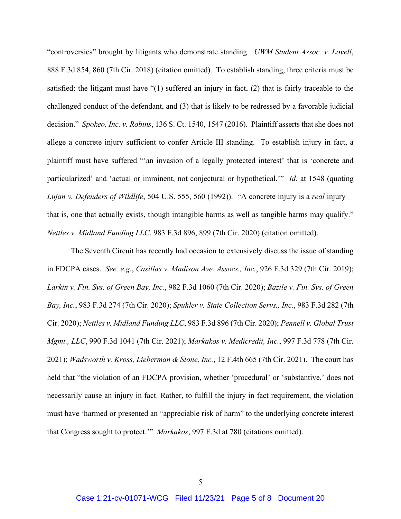"controversies" brought by litigants who demonstrate standing. *UWM Student Assoc. v. Lovell*, 888 F.3d 854, 860 (7th Cir. 2018) (citation omitted). To establish standing, three criteria must be satisfied: the litigant must have "(1) suffered an injury in fact, (2) that is fairly traceable to the challenged conduct of the defendant, and (3) that is likely to be redressed by a favorable judicial decision." *Spokeo, Inc. v. Robins*, 136 S. Ct. 1540, 1547 (2016). Plaintiff asserts that she does not allege a concrete injury sufficient to confer Article III standing. To establish injury in fact, a plaintiff must have suffered "'an invasion of a legally protected interest' that is 'concrete and particularized' and 'actual or imminent, not conjectural or hypothetical.'" *Id.* at 1548 (quoting *Lujan v. Defenders of Wildlife*, 504 U.S. 555, 560 (1992)). "A concrete injury is a *real* injury that is, one that actually exists, though intangible harms as well as tangible harms may qualify." *Nettles v. Midland Funding LLC*, 983 F.3d 896, 899 (7th Cir. 2020) (citation omitted).

The Seventh Circuit has recently had occasion to extensively discuss the issue of standing in FDCPA cases. *See, e.g.*, *Casillas v. Madison Ave. Assocs., Inc.*, 926 F.3d 329 (7th Cir. 2019); *Larkin v. Fin. Sys. of Green Bay, Inc.*, 982 F.3d 1060 (7th Cir. 2020); *Bazile v. Fin. Sys. of Green Bay, Inc.*, 983 F.3d 274 (7th Cir. 2020); *Spuhler v. State Collection Servs., Inc.*, 983 F.3d 282 (7th Cir. 2020); *Nettles v. Midland Funding LLC*, 983 F.3d 896 (7th Cir. 2020); *Pennell v. Global Trust Mgmt., LLC*, 990 F.3d 1041 (7th Cir. 2021); *Markakos v. Medicredit, Inc.*, 997 F.3d 778 (7th Cir. 2021); *Wadsworth v. Kross, Lieberman & Stone, Inc.*, 12 F.4th 665 (7th Cir. 2021). The court has held that "the violation of an FDCPA provision, whether 'procedural' or 'substantive,' does not necessarily cause an injury in fact. Rather, to fulfill the injury in fact requirement, the violation must have 'harmed or presented an "appreciable risk of harm" to the underlying concrete interest that Congress sought to protect.'" *Markakos*, 997 F.3d at 780 (citations omitted).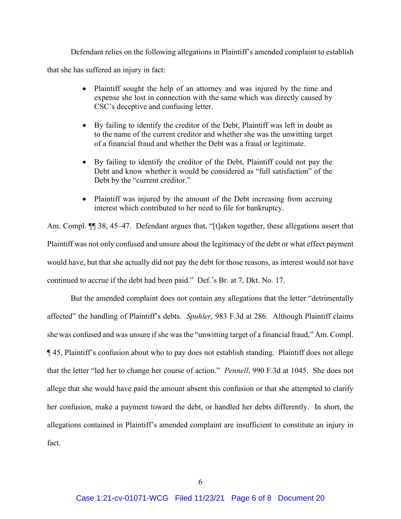Defendant relies on the following allegations in Plaintiff's amended complaint to establish that she has suffered an injury in fact:

- Plaintiff sought the help of an attorney and was injured by the time and expense she lost in connection with the same which was directly caused by CSC's deceptive and confusing letter.
- By failing to identify the creditor of the Debt, Plaintiff was left in doubt as to the name of the current creditor and whether she was the unwitting target of a financial fraud and whether the Debt was a fraud or legitimate.
- By failing to identify the creditor of the Debt, Plaintiff could not pay the Debt and know whether it would be considered as "full satisfaction" of the Debt by the "current creditor."
- Plaintiff was injured by the amount of the Debt increasing from accruing interest which contributed to her need to file for bankruptcy.

Am. Compl.  $\P$  38, 45–47. Defendant argues that, "[t]aken together, these allegations assert that Plaintiff was not only confused and unsure about the legitimacy of the debt or what effect payment would have, but that she actually did not pay the debt for those reasons, as interest would not have continued to accrue if the debt had been paid." Def.'s Br. at 7, Dkt. No. 17.

But the amended complaint does not contain any allegations that the letter "detrimentally affected" the handling of Plaintiff's debts. *Spuhler*, 983 F.3d at 286. Although Plaintiff claims she was confused and was unsure if she was the "unwitting target of a financial fraud," Am. Compl. ¶ 45, Plaintiff's confusion about who to pay does not establish standing. Plaintiff does not allege that the letter "led her to change her course of action." *Pennell*, 990 F.3d at 1045. She does not allege that she would have paid the amount absent this confusion or that she attempted to clarify her confusion, make a payment toward the debt, or handled her debts differently. In short, the allegations contained in Plaintiff's amended complaint are insufficient to constitute an injury in fact.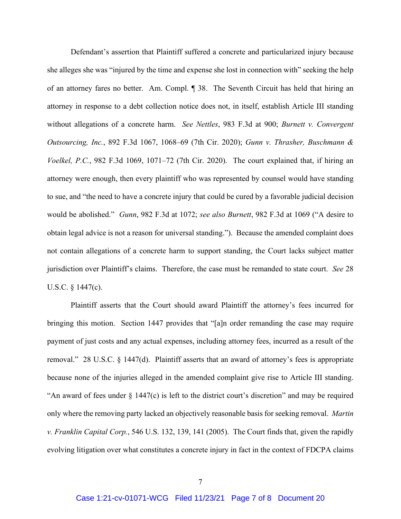Defendant's assertion that Plaintiff suffered a concrete and particularized injury because she alleges she was "injured by the time and expense she lost in connection with" seeking the help of an attorney fares no better. Am. Compl. ¶ 38. The Seventh Circuit has held that hiring an attorney in response to a debt collection notice does not, in itself, establish Article III standing without allegations of a concrete harm. *See Nettles*, 983 F.3d at 900; *Burnett v. Convergent Outsourcing, Inc.*, 892 F.3d 1067, 1068–69 (7th Cir. 2020); *Gunn v. Thrasher, Buschmann & Voelkel, P.C.*, 982 F.3d 1069, 1071–72 (7th Cir. 2020). The court explained that, if hiring an attorney were enough, then every plaintiff who was represented by counsel would have standing to sue, and "the need to have a concrete injury that could be cured by a favorable judicial decision would be abolished." *Gunn*, 982 F.3d at 1072; *see also Burnett*, 982 F.3d at 1069 ("A desire to obtain legal advice is not a reason for universal standing."). Because the amended complaint does not contain allegations of a concrete harm to support standing, the Court lacks subject matter jurisdiction over Plaintiff's claims. Therefore, the case must be remanded to state court. *See* 28 U.S.C. § 1447(c).

Plaintiff asserts that the Court should award Plaintiff the attorney's fees incurred for bringing this motion. Section 1447 provides that "[a]n order remanding the case may require payment of just costs and any actual expenses, including attorney fees, incurred as a result of the removal." 28 U.S.C. § 1447(d). Plaintiff asserts that an award of attorney's fees is appropriate because none of the injuries alleged in the amended complaint give rise to Article III standing. "An award of fees under § 1447(c) is left to the district court's discretion" and may be required only where the removing party lacked an objectively reasonable basis for seeking removal. *Martin v. Franklin Capital Corp.*, 546 U.S. 132, 139, 141 (2005). The Court finds that, given the rapidly evolving litigation over what constitutes a concrete injury in fact in the context of FDCPA claims